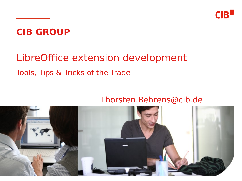

### **CIB GROUP**

## LibreOffice extension development Tools, Tips & Tricks of the Trade

#### Thorsten.Behrens@cib.de

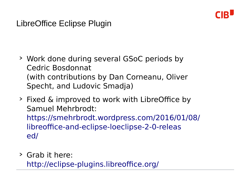

#### LibreOffice Eclipse Plugin

- > Work done during several GSoC periods by Cedric Bosdonnat (with contributions by Dan Corneanu, Oliver Specht, and Ludovic Smadja)
- > Fixed & improved to work with LibreOffice by Samuel Mehrbrodt: [https://smehrbrodt.wordpress.com/2016/01/08/](https://smehrbrodt.wordpress.com/2016/01/08/libreoffice-and-eclipse-loeclipse-2-0-released/) [libreoffice-and-eclipse-loeclipse-2-0-releas](https://smehrbrodt.wordpress.com/2016/01/08/libreoffice-and-eclipse-loeclipse-2-0-released/) [ed/](https://smehrbrodt.wordpress.com/2016/01/08/libreoffice-and-eclipse-loeclipse-2-0-released/)
- > Grab it here:

<http://eclipse-plugins.libreoffice.org/>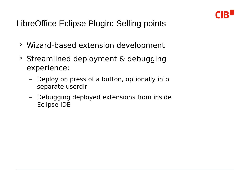

#### LibreOffice Eclipse Plugin: Selling points

- > Wizard-based extension development
- > Streamlined deployment & debugging experience:
	- Deploy on press of a button, optionally into separate userdir
	- Debugging deployed extensions from inside Eclipse IDE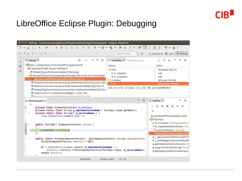#### LibreOffice Eclipse Plugin: Debugging

| Debug - Test/source/org/libreoffice/example/comp/TestImpl.java - Eclipse Platform<br>長 式: # ▼ 〇 ▼ 乌 ▼ 2 日 タ<br>$\begin{array}{c} \mathbb{R} & \mathbb{R} & \mathbb{R} & \mathbb{R} & \mathbb{R} & \mathbb{R} & \mathbb{R} & \mathbb{R} & \mathbb{R} & \mathbb{R} & \mathbb{R} & \mathbb{R} & \mathbb{R} & \mathbb{R} & \mathbb{R} & \mathbb{R} & \mathbb{R} & \mathbb{R} & \mathbb{R} & \mathbb{R} & \mathbb{R} & \mathbb{R} & \mathbb{R} & \mathbb{R} & \mathbb{R} & \mathbb{R} & \mathbb{R} & \mathbb{R} & \mathbb{R} & \mathbb{R} & \mathbb$<br>$\Box$<br>$\mathscr{A}$                                |                                                                                                                                                                                  | 圓<br>$\sqrt{\pi}$                                                                                                                                                                                                                                                                                                                                                                                                                                               |
|-----------------------------------------------------------------------------------------------------------------------------------------------------------------------------------------------------------------------------------------------------------------------------------------------------------------------------------------------------------------------------------------------------------------------------------------------------------------------------------------------------------------------------------------------------------------------------------------------------------|----------------------------------------------------------------------------------------------------------------------------------------------------------------------------------|-----------------------------------------------------------------------------------------------------------------------------------------------------------------------------------------------------------------------------------------------------------------------------------------------------------------------------------------------------------------------------------------------------------------------------------------------------------------|
| $\mathcal{L} \rightarrow \mathcal{L} \rightarrow \mathcal{L} \rightarrow \mathcal{L}$                                                                                                                                                                                                                                                                                                                                                                                                                                                                                                                     | <b>Ouick Access</b><br>昏                                                                                                                                                         | B Resource & Java<br>参 Debug                                                                                                                                                                                                                                                                                                                                                                                                                                    |
| 脊 Debug 23<br>目<br>▼△ New_configuration (1) [LibreOffice Application]<br>▼ OpenJDK 64-Bit Server VM [7861]<br>Thread [AsynchronousFinalizer] (Running)<br>Thread [Thread-5] (Suspended (breakpoint at line 22 in TestImpl))<br>E TestImpl. <init>(XComponentContext) line: 22<br/>= NativeConstructorAccessorImpl.newInstance0(Constructor, Obj-<br/>≡ NativeConstructorAccessorImpl.newInstance(Object[]) line: 57<br/>= DelegatingConstructorAccessorImpl.newInstance(Object[]) line:<br/>E Constructor<t>.newInstance(Object) line: 526<br/>Eschary inchantiate/VComponentContext\line: 216</t></init> | (x)= Variables & ® Breakpoints<br>Name<br>$\bullet$ chis<br>m adapter<br>m xContext<br>$\bullet$ © context<br>$\rightarrow h$<br>com.sun.star.bridges.jni uno.JNI proxy@4808e0e1 | $\Box$<br>Value<br>TestImpl (id=27)<br>null<br>null<br>\$Proxy6 (id=34)<br>JNI_proxy (id=45)                                                                                                                                                                                                                                                                                                                                                                    |
| TestImpl.java &<br>€<br>private final XComponentContext m xContext;<br>Ob.<br>private static final String m implementationName = TestImpl.class.getName();<br>private static final String[] $m$ serviceNames = {<br>Θ<br>"org.libreoffice.example.Test" };<br>public TestImpl( XComponentContext context )<br>$\Theta$<br>$m$ xContext = context;<br>$\mathbf{H}$<br>public static XSingleComponentFactory getComponentFactory (String sImplementatic<br>Θ<br>XSingleComponentFactory xFactory = null;<br>if ( sImplementationName.equals ( m implementationName ) )                                      | $\qquad \qquad \blacksquare$<br>$\Box$                                                                                                                                           | 문 Outline &<br>$\blacksquare$<br>目<br>$\mathbb{F}_2 \times \mathbb{R}^s$<br>E<br>▽<br><b>⊞</b> org.libreoffice.example.comp<br>▼ FestImpl<br>an im_xContext: XComponentCor<br><sup>S</sup> <sup>F</sup> m_implementationName: Stri<br>o <sup>S</sup> m serviceNames: String[]<br>· TestImpl(XComponentContext<br>• <sup>s</sup> getComponentFactory(Strin<br>• writeRegistryServiceInfo(XR<br>· aetImplementationName(): St<br>· supportsService(String) : book |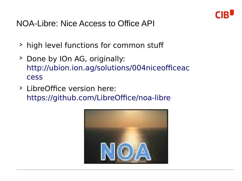

#### NOA-Libre: Nice Access to Office API

- > high level functions for common stuf
- > Done by IOn AG, originally: [http://ubion.ion.ag/solutions/004niceofficeac](http://ubion.ion.ag/solutions/004niceofficeaccess) [cess](http://ubion.ion.ag/solutions/004niceofficeaccess)
- > LibreOffice version here: <https://github.com/LibreOffice/noa-libre>

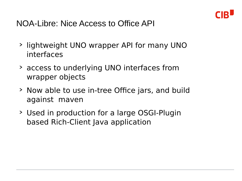

#### NOA-Libre: Nice Access to Office API

- > lightweight UNO wrapper API for many UNO interfaces
- > access to underlying UNO interfaces from wrapper objects
- > Now able to use in-tree Office jars, and build against maven
- > Used in production for a large OSGI-Plugin based Rich-Client Java application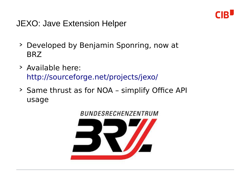

JEXO: Jave Extension Helper

- > Developed by Benjamin Sponring, now at BRZ
- > Available here: <http://sourceforge.net/projects/jexo/>
- > Same thrust as for NOA simplify Office API usage

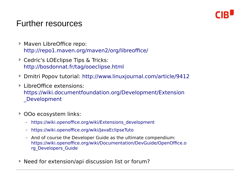#### Further resources

- > Maven LibreOffice repo: <http://repo1.maven.org/maven2/org/libreoffice/>
- > Cedric's LOEclipse Tips & Tricks: <http://bosdonnat.fr/tag/ooeclipse.html>
- > Dmitri Popov tutorial: <http://www.linuxjournal.com/article/9412>
- > LibreOffice extensions: [https://wiki.documentfoundation.org/Development/Extension](https://wiki.documentfoundation.org/Development/Extension_Development) [\\_Development](https://wiki.documentfoundation.org/Development/Extension_Development)
- > OOo ecosystem links:
	- [https://wiki.openoffice.org/wiki/Extensions\\_development](https://wiki.openoffice.org/wiki/Extensions_development)
	- <https://wiki.openoffice.org/wiki/JavaEclipseTuto>
	- And of course the Developer Guide as the ultimate compendium: [https://wiki.openoffice.org/wiki/Documentation/DevGuide/OpenOffice.o](https://wiki.openoffice.org/wiki/Documentation/DevGuide/OpenOffice.org_Developers_Guide) [rg\\_Developers\\_Guide](https://wiki.openoffice.org/wiki/Documentation/DevGuide/OpenOffice.org_Developers_Guide)
- > Need for extension/api discussion list or forum?